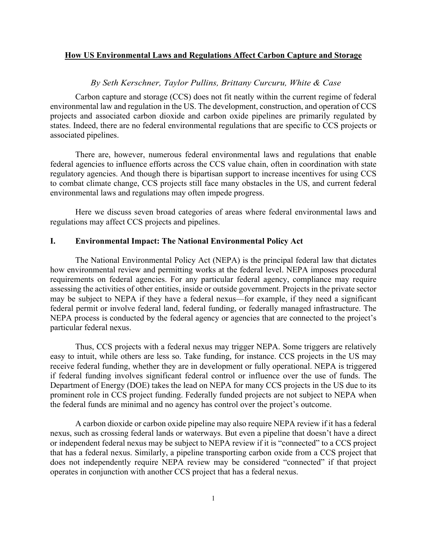# **How US Environmental Laws and Regulations Affect Carbon Capture and Storage**

#### *By Seth Kerschner, Taylor Pullins, Brittany Curcuru, White & Case*

Carbon capture and storage (CCS) does not fit neatly within the current regime of federal environmental law and regulation in the US. The development, construction, and operation of CCS projects and associated carbon dioxide and carbon oxide pipelines are primarily regulated by states. Indeed, there are no federal environmental regulations that are specific to CCS projects or associated pipelines.

There are, however, numerous federal environmental laws and regulations that enable federal agencies to influence efforts across the CCS value chain, often in coordination with state regulatory agencies. And though there is bipartisan support to increase incentives for using CCS to combat climate change, CCS projects still face many obstacles in the US, and current federal environmental laws and regulations may often impede progress.

Here we discuss seven broad categories of areas where federal environmental laws and regulations may affect CCS projects and pipelines.

# **I. Environmental Impact: The National Environmental Policy Act**

The National Environmental Policy Act (NEPA) is the principal federal law that dictates how environmental review and permitting works at the federal level. NEPA imposes procedural requirements on federal agencies. For any particular federal agency, compliance may require assessing the activities of other entities, inside or outside government. Projects in the private sector may be subject to NEPA if they have a federal nexus—for example, if they need a significant federal permit or involve federal land, federal funding, or federally managed infrastructure. The NEPA process is conducted by the federal agency or agencies that are connected to the project's particular federal nexus.

Thus, CCS projects with a federal nexus may trigger NEPA. Some triggers are relatively easy to intuit, while others are less so. Take funding, for instance. CCS projects in the US may receive federal funding, whether they are in development or fully operational. NEPA is triggered if federal funding involves significant federal control or influence over the use of funds. The Department of Energy (DOE) takes the lead on NEPA for many CCS projects in the US due to its prominent role in CCS project funding. Federally funded projects are not subject to NEPA when the federal funds are minimal and no agency has control over the project's outcome.

A carbon dioxide or carbon oxide pipeline may also require NEPA review if it has a federal nexus, such as crossing federal lands or waterways. But even a pipeline that doesn't have a direct or independent federal nexus may be subject to NEPA review if it is "connected" to a CCS project that has a federal nexus. Similarly, a pipeline transporting carbon oxide from a CCS project that does not independently require NEPA review may be considered "connected" if that project operates in conjunction with another CCS project that has a federal nexus.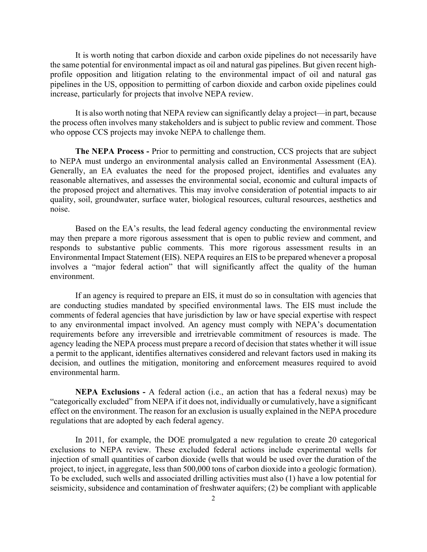It is worth noting that carbon dioxide and carbon oxide pipelines do not necessarily have the same potential for environmental impact as oil and natural gas pipelines. But given recent highprofile opposition and litigation relating to the environmental impact of oil and natural gas pipelines in the US, opposition to permitting of carbon dioxide and carbon oxide pipelines could increase, particularly for projects that involve NEPA review.

It is also worth noting that NEPA review can significantly delay a project—in part, because the process often involves many stakeholders and is subject to public review and comment. Those who oppose CCS projects may invoke NEPA to challenge them.

**The NEPA Process -** Prior to permitting and construction, CCS projects that are subject to NEPA must undergo an environmental analysis called an Environmental Assessment (EA). Generally, an EA evaluates the need for the proposed project, identifies and evaluates any reasonable alternatives, and assesses the environmental social, economic and cultural impacts of the proposed project and alternatives. This may involve consideration of potential impacts to air quality, soil, groundwater, surface water, biological resources, cultural resources, aesthetics and noise.

Based on the EA's results, the lead federal agency conducting the environmental review may then prepare a more rigorous assessment that is open to public review and comment, and responds to substantive public comments. This more rigorous assessment results in an Environmental Impact Statement (EIS). NEPA requires an EIS to be prepared whenever a proposal involves a "major federal action" that will significantly affect the quality of the human environment.

If an agency is required to prepare an EIS, it must do so in consultation with agencies that are conducting studies mandated by specified environmental laws. The EIS must include the comments of federal agencies that have jurisdiction by law or have special expertise with respect to any environmental impact involved. An agency must comply with NEPA's documentation requirements before any irreversible and irretrievable commitment of resources is made. The agency leading the NEPA process must prepare a record of decision that states whether it will issue a permit to the applicant, identifies alternatives considered and relevant factors used in making its decision, and outlines the mitigation, monitoring and enforcement measures required to avoid environmental harm.

**NEPA Exclusions -** A federal action (i.e., an action that has a federal nexus) may be "categorically excluded" from NEPA if it does not, individually or cumulatively, have a significant effect on the environment. The reason for an exclusion is usually explained in the NEPA procedure regulations that are adopted by each federal agency.

In 2011, for example, the DOE promulgated a new regulation to create 20 categorical exclusions to NEPA review. These excluded federal actions include experimental wells for injection of small quantities of carbon dioxide (wells that would be used over the duration of the project, to inject, in aggregate, less than 500,000 tons of carbon dioxide into a geologic formation). To be excluded, such wells and associated drilling activities must also (1) have a low potential for seismicity, subsidence and contamination of freshwater aquifers; (2) be compliant with applicable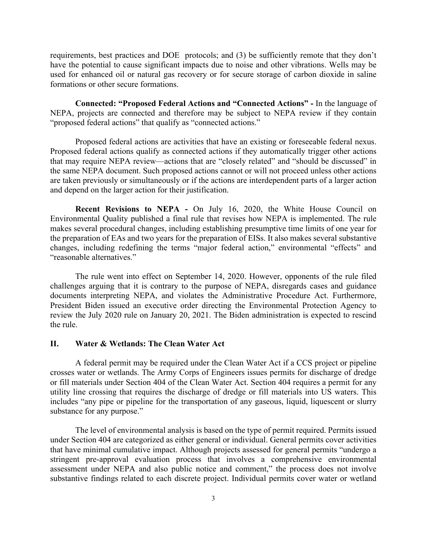requirements, best practices and DOE protocols; and (3) be sufficiently remote that they don't have the potential to cause significant impacts due to noise and other vibrations. Wells may be used for enhanced oil or natural gas recovery or for secure storage of carbon dioxide in saline formations or other secure formations.

**Connected: "Proposed Federal Actions and "Connected Actions" -** In the language of NEPA, projects are connected and therefore may be subject to NEPA review if they contain "proposed federal actions" that qualify as "connected actions."

Proposed federal actions are activities that have an existing or foreseeable federal nexus. Proposed federal actions qualify as connected actions if they automatically trigger other actions that may require NEPA review—actions that are "closely related" and "should be discussed" in the same NEPA document. Such proposed actions cannot or will not proceed unless other actions are taken previously or simultaneously or if the actions are interdependent parts of a larger action and depend on the larger action for their justification.

**Recent Revisions to NEPA -** On July 16, 2020, the White House Council on Environmental Quality published a final rule that revises how NEPA is implemented. The rule makes several procedural changes, including establishing presumptive time limits of one year for the preparation of EAs and two years for the preparation of EISs. It also makes several substantive changes, including redefining the terms "major federal action," environmental "effects" and "reasonable alternatives."

The rule went into effect on September 14, 2020. However, opponents of the rule filed challenges arguing that it is contrary to the purpose of NEPA, disregards cases and guidance documents interpreting NEPA, and violates the Administrative Procedure Act. Furthermore, President Biden issued an executive order directing the Environmental Protection Agency to review the July 2020 rule on January 20, 2021. The Biden administration is expected to rescind the rule.

## **II. Water & Wetlands: The Clean Water Act**

A federal permit may be required under the Clean Water Act if a CCS project or pipeline crosses water or wetlands. The Army Corps of Engineers issues permits for discharge of dredge or fill materials under Section 404 of the Clean Water Act. Section 404 requires a permit for any utility line crossing that requires the discharge of dredge or fill materials into US waters. This includes "any pipe or pipeline for the transportation of any gaseous, liquid, liquescent or slurry substance for any purpose."

The level of environmental analysis is based on the type of permit required. Permits issued under Section 404 are categorized as either general or individual. General permits cover activities that have minimal cumulative impact. Although projects assessed for general permits "undergo a stringent pre-approval evaluation process that involves a comprehensive environmental assessment under NEPA and also public notice and comment," the process does not involve substantive findings related to each discrete project. Individual permits cover water or wetland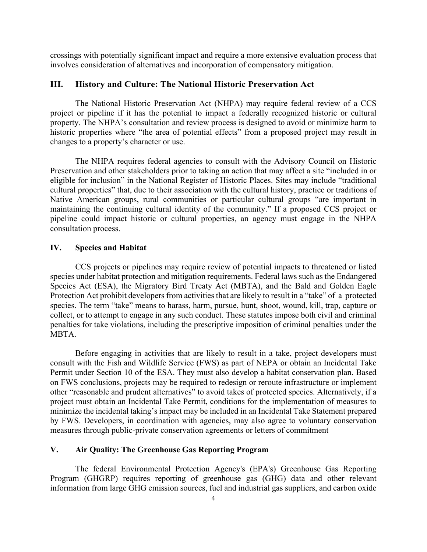crossings with potentially significant impact and require a more extensive evaluation process that involves consideration of alternatives and incorporation of compensatory mitigation.

# **III. History and Culture: The National Historic Preservation Act**

The National Historic Preservation Act (NHPA) may require federal review of a CCS project or pipeline if it has the potential to impact a federally recognized historic or cultural property. The NHPA's consultation and review process is designed to avoid or minimize harm to historic properties where "the area of potential effects" from a proposed project may result in changes to a property's character or use.

The NHPA requires federal agencies to consult with the Advisory Council on Historic Preservation and other stakeholders prior to taking an action that may affect a site "included in or eligible for inclusion" in the National Register of Historic Places. Sites may include "traditional cultural properties" that, due to their association with the cultural history, practice or traditions of Native American groups, rural communities or particular cultural groups "are important in maintaining the continuing cultural identity of the community." If a proposed CCS project or pipeline could impact historic or cultural properties, an agency must engage in the NHPA consultation process.

### **IV. Species and Habitat**

CCS projects or pipelines may require review of potential impacts to threatened or listed species under habitat protection and mitigation requirements. Federal laws such as the Endangered Species Act (ESA), the Migratory Bird Treaty Act (MBTA), and the Bald and Golden Eagle Protection Act prohibit developers from activities that are likely to result in a "take" of a protected species. The term "take" means to harass, harm, pursue, hunt, shoot, wound, kill, trap, capture or collect, or to attempt to engage in any such conduct. These statutes impose both civil and criminal penalties for take violations, including the prescriptive imposition of criminal penalties under the MBTA.

Before engaging in activities that are likely to result in a take, project developers must consult with the Fish and Wildlife Service (FWS) as part of NEPA or obtain an Incidental Take Permit under Section 10 of the ESA. They must also develop a habitat conservation plan. Based on FWS conclusions, projects may be required to redesign or reroute infrastructure or implement other "reasonable and prudent alternatives" to avoid takes of protected species. Alternatively, if a project must obtain an Incidental Take Permit, conditions for the implementation of measures to minimize the incidental taking's impact may be included in an Incidental Take Statement prepared by FWS. Developers, in coordination with agencies, may also agree to voluntary conservation measures through public-private conservation agreements or letters of commitment

#### **V. Air Quality: The Greenhouse Gas Reporting Program**

The federal Environmental Protection Agency's (EPA's) Greenhouse Gas Reporting Program (GHGRP) requires reporting of greenhouse gas (GHG) data and other relevant information from large GHG emission sources, fuel and industrial gas suppliers, and carbon oxide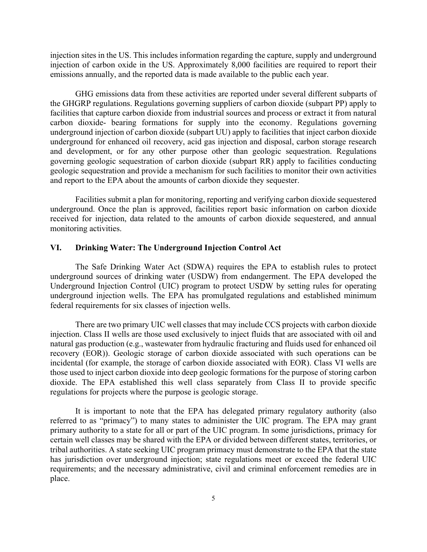injection sites in the US. This includes information regarding the capture, supply and underground injection of carbon oxide in the US. Approximately 8,000 facilities are required to report their emissions annually, and the reported data is made available to the public each year.

GHG emissions data from these activities are reported under several different subparts of the GHGRP regulations. Regulations governing suppliers of carbon dioxide (subpart PP) apply to facilities that capture carbon dioxide from industrial sources and process or extract it from natural carbon dioxide- bearing formations for supply into the economy. Regulations governing underground injection of carbon dioxide (subpart UU) apply to facilities that inject carbon dioxide underground for enhanced oil recovery, acid gas injection and disposal, carbon storage research and development, or for any other purpose other than geologic sequestration. Regulations governing geologic sequestration of carbon dioxide (subpart RR) apply to facilities conducting geologic sequestration and provide a mechanism for such facilities to monitor their own activities and report to the EPA about the amounts of carbon dioxide they sequester.

Facilities submit a plan for monitoring, reporting and verifying carbon dioxide sequestered underground. Once the plan is approved, facilities report basic information on carbon dioxide received for injection, data related to the amounts of carbon dioxide sequestered, and annual monitoring activities.

### **VI. Drinking Water: The Underground Injection Control Act**

The Safe Drinking Water Act (SDWA) requires the EPA to establish rules to protect underground sources of drinking water (USDW) from endangerment. The EPA developed the Underground Injection Control (UIC) program to protect USDW by setting rules for operating underground injection wells. The EPA has promulgated regulations and established minimum federal requirements for six classes of injection wells.

There are two primary UIC well classes that may include CCS projects with carbon dioxide injection. Class II wells are those used exclusively to inject fluids that are associated with oil and natural gas production (e.g., wastewater from hydraulic fracturing and fluids used for enhanced oil recovery (EOR)). Geologic storage of carbon dioxide associated with such operations can be incidental (for example, the storage of carbon dioxide associated with EOR). Class VI wells are those used to inject carbon dioxide into deep geologic formations for the purpose of storing carbon dioxide. The EPA established this well class separately from Class II to provide specific regulations for projects where the purpose is geologic storage.

It is important to note that the EPA has delegated primary regulatory authority (also referred to as "primacy") to many states to administer the UIC program. The EPA may grant primary authority to a state for all or part of the UIC program. In some jurisdictions, primacy for certain well classes may be shared with the EPA or divided between different states, territories, or tribal authorities. A state seeking UIC program primacy must demonstrate to the EPA that the state has jurisdiction over underground injection; state regulations meet or exceed the federal UIC requirements; and the necessary administrative, civil and criminal enforcement remedies are in place.